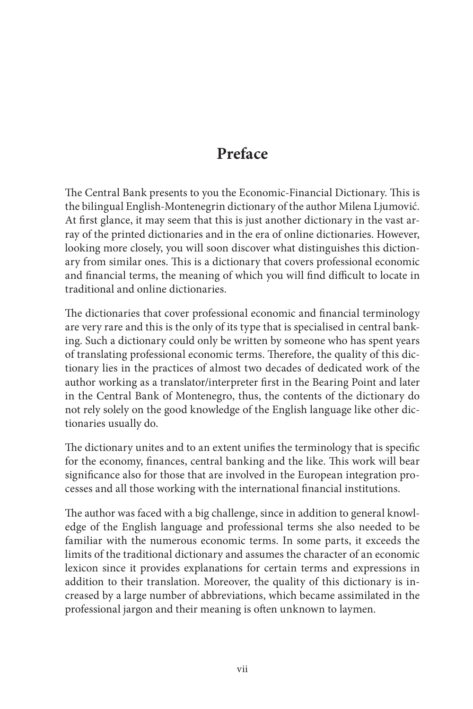## **Preface**

The Central Bank presents to you the Economic-Financial Dictionary. This is the bilingual English-Montenegrin dictionary of the author Milena Ljumović. At first glance, it may seem that this is just another dictionary in the vast array of the printed dictionaries and in the era of online dictionaries. However, looking more closely, you will soon discover what distinguishes this dictionary from similar ones. This is a dictionary that covers professional economic and financial terms, the meaning of which you will find difficult to locate in traditional and online dictionaries.

The dictionaries that cover professional economic and financial terminology are very rare and this is the only of its type that is specialised in central banking. Such a dictionary could only be written by someone who has spent years of translating professional economic terms. Therefore, the quality of this dictionary lies in the practices of almost two decades of dedicated work of the author working as a translator/interpreter first in the Bearing Point and later in the Central Bank of Montenegro, thus, the contents of the dictionary do not rely solely on the good knowledge of the English language like other dictionaries usually do.

The dictionary unites and to an extent unifies the terminology that is specific for the economy, finances, central banking and the like. This work will bear significance also for those that are involved in the European integration processes and all those working with the international financial institutions.

The author was faced with a big challenge, since in addition to general knowledge of the English language and professional terms she also needed to be familiar with the numerous economic terms. In some parts, it exceeds the limits of the traditional dictionary and assumes the character of an economic lexicon since it provides explanations for certain terms and expressions in addition to their translation. Moreover, the quality of this dictionary is increased by a large number of abbreviations, which became assimilated in the professional jargon and their meaning is often unknown to laymen.